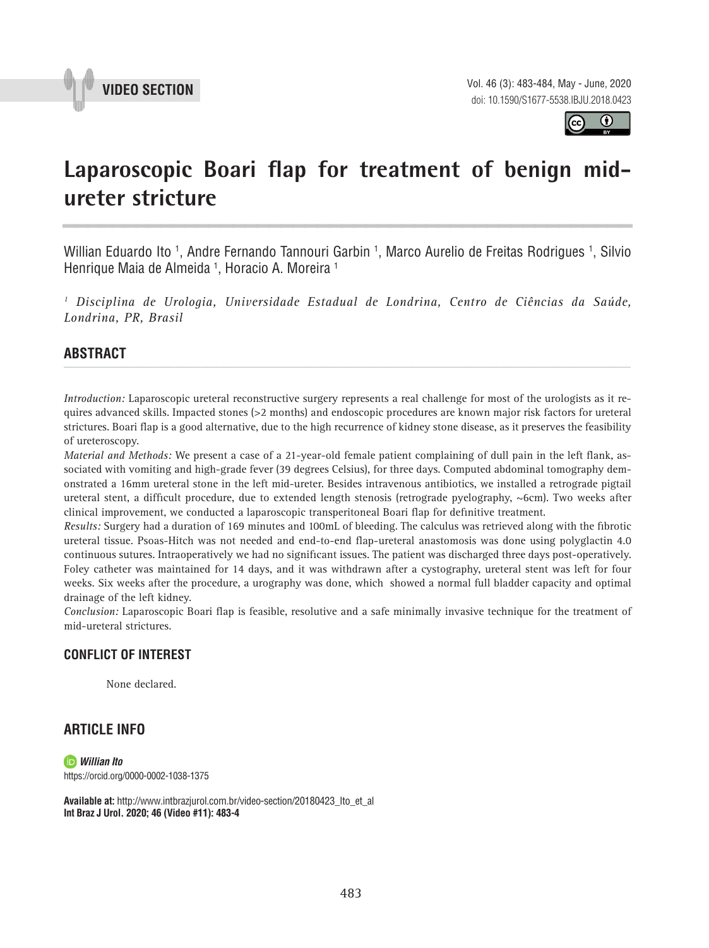



# Laparoscopic Boari flap for treatment of benign mid**ureter stricture \_\_\_\_\_\_\_\_\_\_\_\_\_\_\_\_\_\_\_\_\_\_\_\_\_\_\_\_\_\_\_\_\_\_\_\_\_\_\_\_\_\_\_\_\_\_\_**

Willian Eduardo Ito <sup>1</sup>, Andre Fernando Tannouri Garbin <sup>1</sup>, Marco Aurelio de Freitas Rodrigues <sup>1</sup>, Silvio Henrique Maia de Almeida 1 , Horacio A. Moreira 1

*1 Disciplina de Urologia, Universidade Estadual de Londrina, Centro de Ciências da Saúde, Londrina, PR, Brasil*

#### **ABSTRACT**  *\_\_\_\_\_\_\_\_\_\_\_\_\_\_\_\_\_\_\_\_\_\_\_\_\_\_\_\_\_\_\_\_\_\_\_\_\_\_\_\_\_\_\_\_\_\_\_\_\_\_\_\_\_\_\_\_\_\_\_\_\_\_\_\_\_\_\_\_\_\_\_\_\_\_\_\_\_\_\_\_\_\_\_\_\_\_\_*

*Introduction:* Laparoscopic ureteral reconstructive surgery represents a real challenge for most of the urologists as it requires advanced skills. Impacted stones (>2 months) and endoscopic procedures are known major risk factors for ureteral strictures. Boari flap is a good alternative, due to the high recurrence of kidney stone disease, as it preserves the feasibility of ureteroscopy.

*Material and Methods:* We present a case of a 21-year-old female patient complaining of dull pain in the left flank, associated with vomiting and high-grade fever (39 degrees Celsius), for three days. Computed abdominal tomography demonstrated a 16mm ureteral stone in the left mid-ureter. Besides intravenous antibiotics, we installed a retrograde pigtail ureteral stent, a difficult procedure, due to extended length stenosis (retrograde pyelography,  $\sim$ 6cm). Two weeks after clinical improvement, we conducted a laparoscopic transperitoneal Boari flap for definitive treatment.

*Results:* Surgery had a duration of 169 minutes and 100mL of bleeding. The calculus was retrieved along with the fibrotic ureteral tissue. Psoas-Hitch was not needed and end-to-end flap-ureteral anastomosis was done using polyglactin 4.0 continuous sutures. Intraoperatively we had no significant issues. The patient was discharged three days post-operatively. Foley catheter was maintained for 14 days, and it was withdrawn after a cystography, ureteral stent was left for four weeks. Six weeks after the procedure, a urography was done, which showed a normal full bladder capacity and optimal drainage of the left kidney.

*Conclusion:* Laparoscopic Boari flap is feasible, resolutive and a safe minimally invasive technique for the treatment of mid-ureteral strictures.

## **CONFLICT OF INTEREST**

None declared.

## **ARTICLE INFO**

*Willian Ito* https://orcid.org/0000-0002-1038-1375

**Available at:** http://www.intbrazjurol.com.br/video-section/20180423\_Ito\_et\_al **Int Braz J Urol. 2020; 46 (Video #11): 483-4**